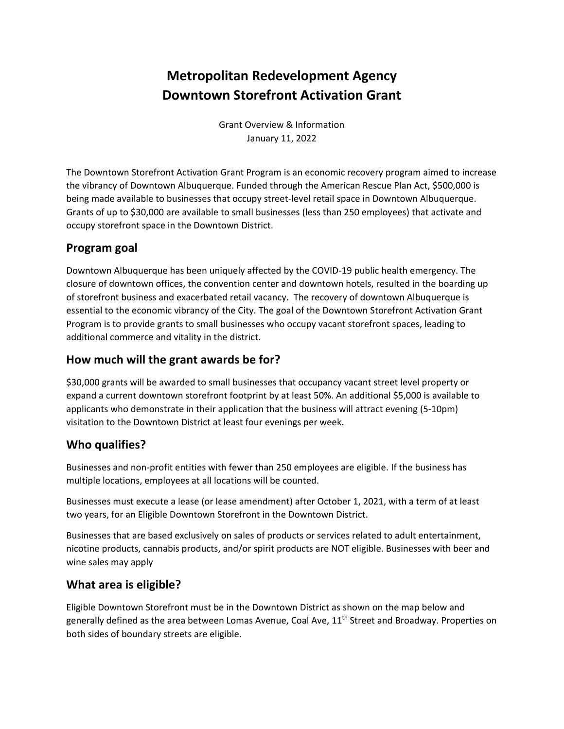# **Metropolitan Redevelopment Agency Downtown Storefront Activation Grant**

Grant Overview & Information January 11, 2022

The Downtown Storefront Activation Grant Program is an economic recovery program aimed to increase the vibrancy of Downtown Albuquerque. Funded through the American Rescue Plan Act, \$500,000 is being made available to businesses that occupy street-level retail space in Downtown Albuquerque. Grants of up to \$30,000 are available to small businesses (less than 250 employees) that activate and occupy storefront space in the Downtown District.

## **Program goal**

Downtown Albuquerque has been uniquely affected by the COVID-19 public health emergency. The closure of downtown offices, the convention center and downtown hotels, resulted in the boarding up of storefront business and exacerbated retail vacancy. The recovery of downtown Albuquerque is essential to the economic vibrancy of the City. The goal of the Downtown Storefront Activation Grant Program is to provide grants to small businesses who occupy vacant storefront spaces, leading to additional commerce and vitality in the district.

#### **How much will the grant awards be for?**

\$30,000 grants will be awarded to small businesses that occupancy vacant street level property or expand a current downtown storefront footprint by at least 50%. An additional \$5,000 is available to applicants who demonstrate in their application that the business will attract evening (5-10pm) visitation to the Downtown District at least four evenings per week.

# **Who qualifies?**

Businesses and non-profit entities with fewer than 250 employees are eligible. If the business has multiple locations, employees at all locations will be counted.

Businesses must execute a lease (or lease amendment) after October 1, 2021, with a term of at least two years, for an Eligible Downtown Storefront in the Downtown District.

Businesses that are based exclusively on sales of products or services related to adult entertainment, nicotine products, cannabis products, and/or spirit products are NOT eligible. Businesses with beer and wine sales may apply

# **What area is eligible?**

Eligible Downtown Storefront must be in the Downtown District as shown on the map below and generally defined as the area between Lomas Avenue, Coal Ave, 11<sup>th</sup> Street and Broadway. Properties on both sides of boundary streets are eligible.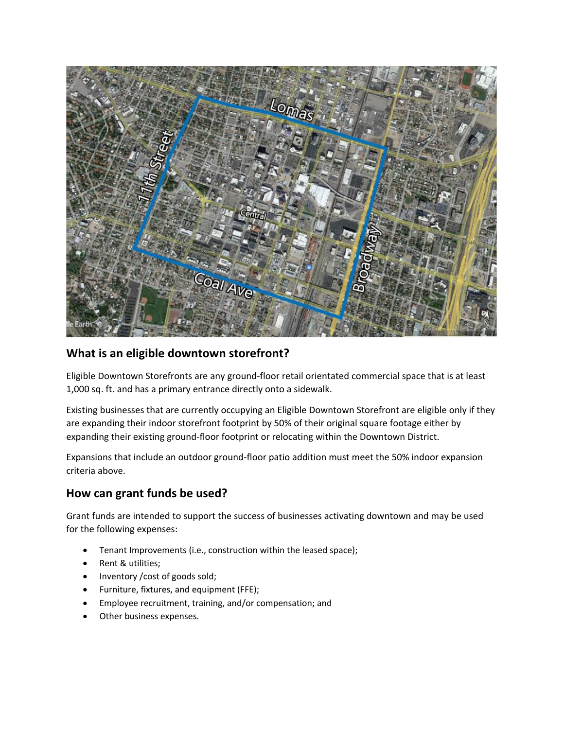

## **What is an eligible downtown storefront?**

Eligible Downtown Storefronts are any ground-floor retail orientated commercial space that is at least 1,000 sq. ft. and has a primary entrance directly onto a sidewalk.

Existing businesses that are currently occupying an Eligible Downtown Storefront are eligible only if they are expanding their indoor storefront footprint by 50% of their original square footage either by expanding their existing ground-floor footprint or relocating within the Downtown District.

Expansions that include an outdoor ground-floor patio addition must meet the 50% indoor expansion criteria above.

# **How can grant funds be used?**

Grant funds are intended to support the success of businesses activating downtown and may be used for the following expenses:

- Tenant Improvements (i.e., construction within the leased space);
- Rent & utilities;
- Inventory /cost of goods sold;
- Furniture, fixtures, and equipment (FFE);
- Employee recruitment, training, and/or compensation; and
- Other business expenses.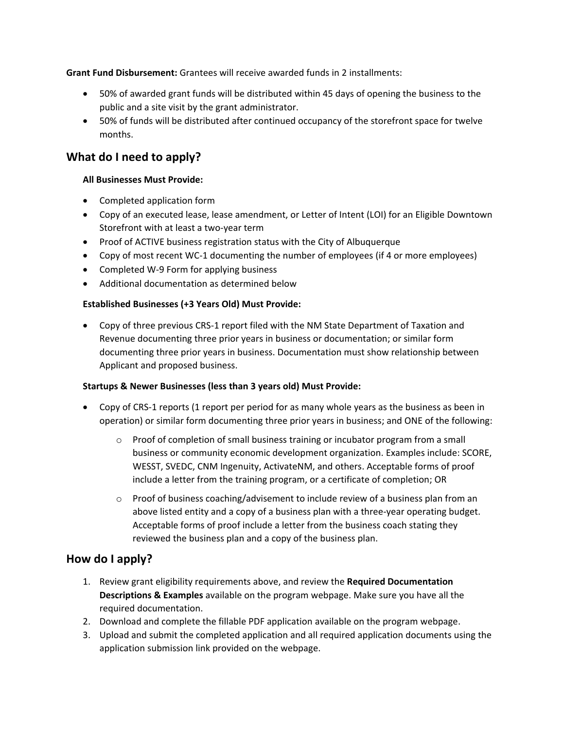**Grant Fund Disbursement:** Grantees will receive awarded funds in 2 installments:

- 50% of awarded grant funds will be distributed within 45 days of opening the business to the public and a site visit by the grant administrator.
- 50% of funds will be distributed after continued occupancy of the storefront space for twelve months.

#### **What do I need to apply?**

#### **All Businesses Must Provide:**

- Completed application form
- Copy of an executed lease, lease amendment, or Letter of Intent (LOI) for an Eligible Downtown Storefront with at least a two-year term
- Proof of ACTIVE business registration status with the City of Albuquerque
- Copy of most recent WC-1 documenting the number of employees (if 4 or more employees)
- Completed W-9 Form for applying business
- Additional documentation as determined below

#### **Established Businesses (+3 Years Old) Must Provide:**

• Copy of three previous CRS-1 report filed with the NM State Department of Taxation and Revenue documenting three prior years in business or documentation; or similar form documenting three prior years in business. Documentation must show relationship between Applicant and proposed business.

#### **Startups & Newer Businesses (less than 3 years old) Must Provide:**

- Copy of CRS-1 reports (1 report per period for as many whole years as the business as been in operation) or similar form documenting three prior years in business; and ONE of the following:
	- $\circ$  Proof of completion of small business training or incubator program from a small business or community economic development organization. Examples include: SCORE, WESST, SVEDC, CNM Ingenuity, ActivateNM, and others. Acceptable forms of proof include a letter from the training program, or a certificate of completion; OR
	- $\circ$  Proof of business coaching/advisement to include review of a business plan from an above listed entity and a copy of a business plan with a three-year operating budget. Acceptable forms of proof include a letter from the business coach stating they reviewed the business plan and a copy of the business plan.

#### **How do I apply?**

- 1. Review grant eligibility requirements above, and review the **Required Documentation Descriptions & Examples** available on the program webpage. Make sure you have all the required documentation.
- 2. Download and complete the fillable PDF application available on the program webpage.
- 3. Upload and submit the completed application and all required application documents using the application submission link provided on the webpage.